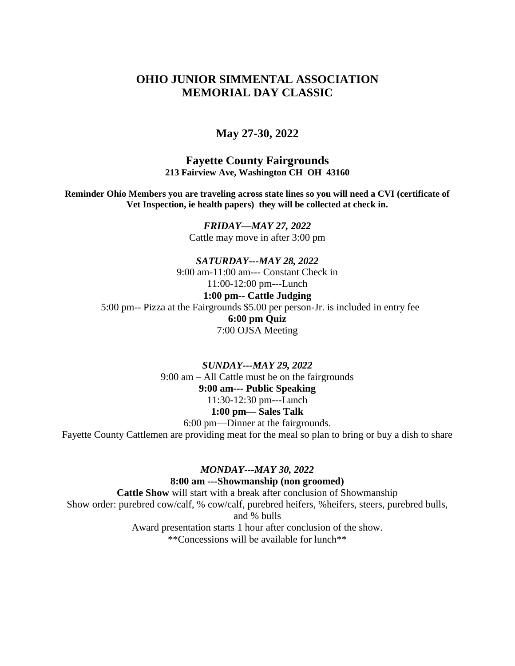# **OHIO JUNIOR SIMMENTAL ASSOCIATION MEMORIAL DAY CLASSIC**

## **May 27-30, 2022**

**Fayette County Fairgrounds 213 Fairview Ave, Washington CH OH 43160**

**Reminder Ohio Members you are traveling across state lines so you will need a CVI (certificate of Vet Inspection, ie health papers) they will be collected at check in.**

> *FRIDAY—MAY 27, 2022* Cattle may move in after 3:00 pm

*SATURDAY---MAY 28, 2022* 9:00 am-11:00 am--- Constant Check in 11:00-12:00 pm---Lunch **1:00 pm-- Cattle Judging** 5:00 pm-- Pizza at the Fairgrounds \$5.00 per person-Jr. is included in entry fee **6:00 pm Quiz** 7:00 OJSA Meeting

*SUNDAY---MAY 29, 2022* 9:00 am – All Cattle must be on the fairgrounds **9:00 am--- Public Speaking** 11:30-12:30 pm---Lunch **1:00 pm— Sales Talk** 6:00 pm—Dinner at the fairgrounds. Fayette County Cattlemen are providing meat for the meal so plan to bring or buy a dish to share

#### *MONDAY---MAY 30, 2022*

**8:00 am ---Showmanship (non groomed) Cattle Show** will start with a break after conclusion of Showmanship Show order: purebred cow/calf, % cow/calf, purebred heifers, %heifers, steers, purebred bulls, and % bulls

> Award presentation starts 1 hour after conclusion of the show. \*\*Concessions will be available for lunch\*\*